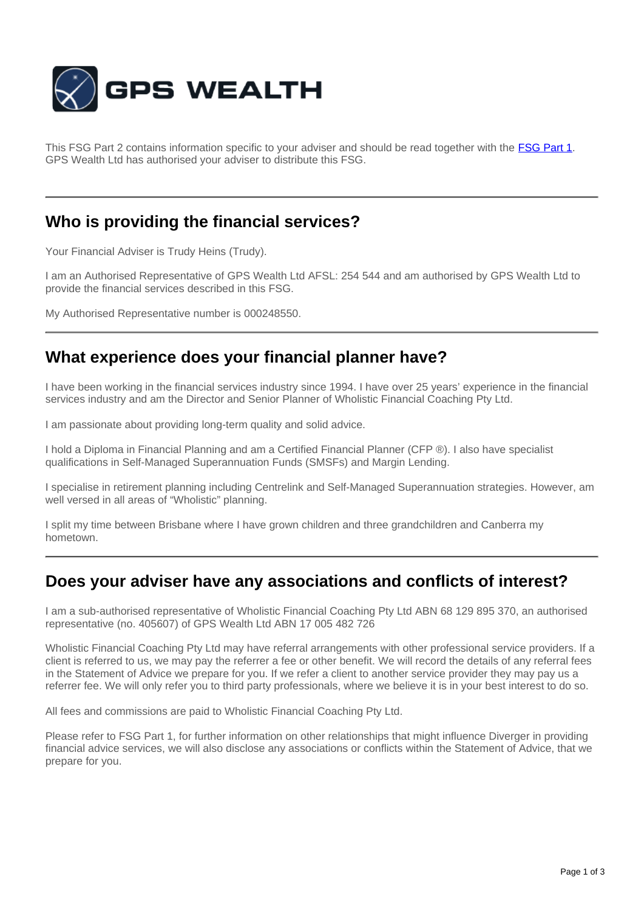

This FSG Part 2 contains information specific to your adviser and should be read together with the **[FSG Part 1](http://www.gpswealth.net.au/gps-test/site/GPS-FSG.pdf)**. GPS Wealth Ltd has authorised your adviser to distribute this FSG.

### **Who is providing the financial services?**

Your Financial Adviser is Trudy Heins (Trudy).

I am an Authorised Representative of GPS Wealth Ltd AFSL: 254 544 and am authorised by GPS Wealth Ltd to provide the financial services described in this FSG.

My Authorised Representative number is 000248550.

## **What experience does your financial planner have?**

I have been working in the financial services industry since 1994. I have over 25 years' experience in the financial services industry and am the Director and Senior Planner of Wholistic Financial Coaching Pty Ltd.

I am passionate about providing long-term quality and solid advice.

I hold a Diploma in Financial Planning and am a Certified Financial Planner (CFP ®). I also have specialist qualifications in Self-Managed Superannuation Funds (SMSFs) and Margin Lending.

I specialise in retirement planning including Centrelink and Self-Managed Superannuation strategies. However, am well versed in all areas of "Wholistic" planning.

I split my time between Brisbane where I have grown children and three grandchildren and Canberra my hometown.

#### **Does your adviser have any associations and conflicts of interest?**

I am a sub-authorised representative of Wholistic Financial Coaching Pty Ltd ABN 68 129 895 370, an authorised representative (no. 405607) of GPS Wealth Ltd ABN 17 005 482 726

Wholistic Financial Coaching Pty Ltd may have referral arrangements with other professional service providers. If a client is referred to us, we may pay the referrer a fee or other benefit. We will record the details of any referral fees in the Statement of Advice we prepare for you. If we refer a client to another service provider they may pay us a referrer fee. We will only refer you to third party professionals, where we believe it is in your best interest to do so.

All fees and commissions are paid to Wholistic Financial Coaching Pty Ltd.

Please refer to FSG Part 1, for further information on other relationships that might influence Diverger in providing financial advice services, we will also disclose any associations or conflicts within the Statement of Advice, that we prepare for you.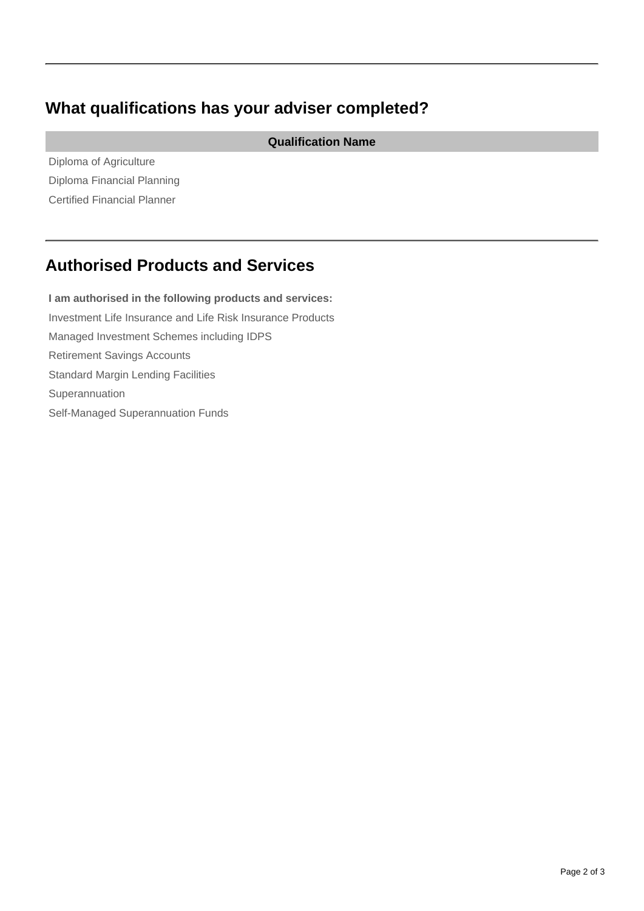# **What qualifications has your adviser completed?**

**Qualification Name**

Diploma of Agriculture Diploma Financial Planning Certified Financial Planner

## **Authorised Products and Services**

**I am authorised in the following products and services:** Investment Life Insurance and Life Risk Insurance Products Managed Investment Schemes including IDPS Retirement Savings Accounts Standard Margin Lending Facilities Superannuation Self-Managed Superannuation Funds